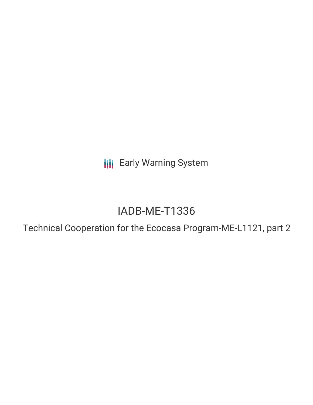**III** Early Warning System

# IADB-ME-T1336

Technical Cooperation for the Ecocasa Program-ME-L1121, part 2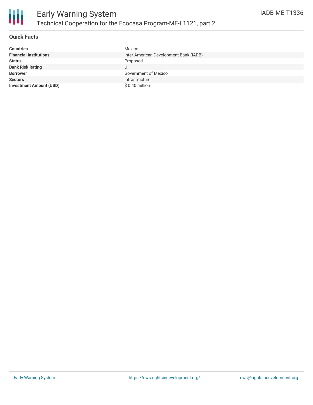## **Quick Facts**

| <b>Countries</b>               | Mexico                                 |
|--------------------------------|----------------------------------------|
| <b>Financial Institutions</b>  | Inter-American Development Bank (IADB) |
| <b>Status</b>                  | Proposed                               |
| <b>Bank Risk Rating</b>        |                                        |
| <b>Borrower</b>                | <b>Government of Mexico</b>            |
| <b>Sectors</b>                 | Infrastructure                         |
| <b>Investment Amount (USD)</b> | $$0.40$ million                        |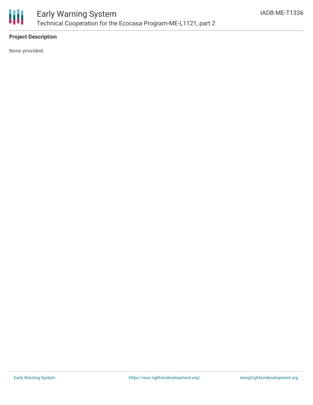

## **Project Description**

None provided.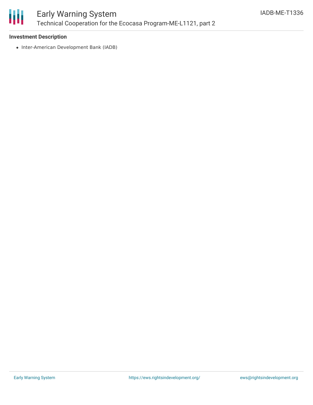

### **Investment Description**

• Inter-American Development Bank (IADB)